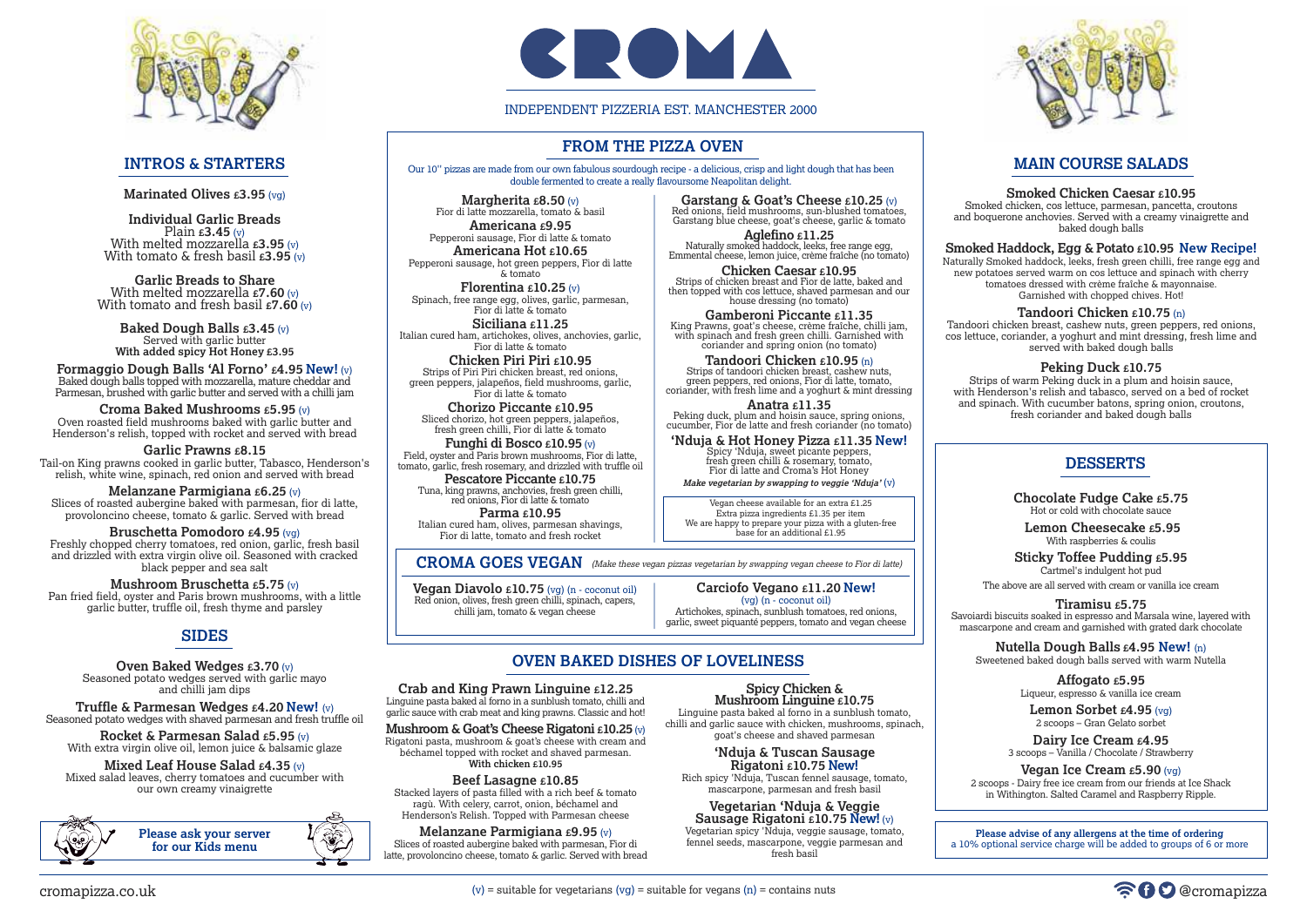Our 10'' pizzas are made from our own fabulous sourdough recipe - a delicious, crisp and light dough that has been double fermented to create a really flavoursome Neapolitan delight.

# **FROM THE PIZZA OVEN**

# **MAIN COURSE SALADS**

#### **Smoked Chicken Caesar £10.95**

Smoked chicken, cos lettuce, parmesan, pancetta, croutons and boquerone anchovies. Served with a creamy vinaigrette and baked dough balls

### **Smoked Haddock, Egg & Potato £10.95 New Recipe!**

Naturally Smoked haddock, leeks, fresh green chilli, free range egg and new potatoes served warm on cos lettuce and spinach with cherry tomatoes dressed with crème fraîche & mayonnaise. Garnished with chopped chives. Hot!

#### **Tandoori Chicken £10.75** (n)

Tandoori chicken breast, cashew nuts, green peppers, red onions, cos lettuce, coriander, a yoghurt and mint dressing, fresh lime and served with baked dough balls

#### **Peking Duck £10.75**

**Individual Garlic Breads** Plain **£3.45** (v) With melted mozzarella **£3.95** (v) With tomato & fresh basil **£3.95** (v)

> Strips of warm Peking duck in a plum and hoisin sauce, with Henderson's relish and tabasco, served on a bed of rocket and spinach. With cucumber batons, spring onion, croutons, fresh coriander and baked dough balls

**Garlic Breads to Share** With melted mozzarella **£7.60** (v) With tomato and fresh basil **£7.60** (v)

> **Chocolate Fudge Cake £5.75** Hot or cold with chocolate sauce

**Lemon Cheesecake £5.95** With raspberries & coulis

**Sticky Toffee Pudding £5.95** Cartmel's indulgent hot pud

The above are all served with cream or vanilla ice cream

**Tiramisu £5.75** Savoiardi biscuits soaked in espresso and Marsala wine, layered with mascarpone and cream and garnished with grated dark chocolate

**Nutella Dough Balls £4.95 New!** (n) Sweetened baked dough balls served with warm Nutella

> **Affogato £5.95** Liqueur, espresso & vanilla ice cream

**Lemon Sorbet £4.95** (vg) 2 scoops – Gran Gelato sorbet

**Dairy Ice Cream £4.95** 3 scoops – Vanilla / Chocolate / Strawberry

**Vegan Ice Cream £5.90** (vg)

2 scoops - Dairy free ice cream from our friends at Ice Shack in Withington. Salted Caramel and Raspberry Ripple.

# **DESSERTS**



# **INTROS & STARTERS**

**Marinated Olives £3.95** (vg)

Linguine pasta baked al forno in a sunblush tomato, chilli and garlic sauce with chicken, mushrooms, spinach,  $\sim$  goat's cheese and shaved parmesan

**Baked Dough Balls £3.45** (v) Served with garlic butter **With added spicy Hot Honey £3.95**

**Formaggio Dough Balls 'Al Forno' £4.95 New!** (v) Baked dough balls topped with mozzarella, mature cheddar and Parmesan, brushed with garlic butter and served with a chilli jam

**Croma Baked Mushrooms £5.95** (v) Oven roasted field mushrooms baked with garlic butter and Henderson's relish, topped with rocket and served with bread

**Margherita £8.50** (v) Fior di latte mozzarella, tomato & basil **Americana £9.95** Pepperoni sausage, Fior di latte & tomato **Americana Hot £10.65** Pepperoni sausage, hot green peppers, Fior di latte

**Garlic Prawns £8.15** Tail-on King prawns cooked in garlic butter, Tabasco, Henderson's relish, white wine, spinach, red onion and served with bread

**Melanzane Parmigiana £6.25** (v) Slices of roasted aubergine baked with parmesan, fior di latte, provoloncino cheese, tomato & garlic. Served with bread

**Bruschetta Pomodoro £4.95** (vg) Freshly chopped cherry tomatoes, red onion, garlic, fresh basil and drizzled with extra virgin olive oil. Seasoned with cracked black pepper and sea salt

**Mushroom Bruschetta £5.75** (v) Pan fried field, oyster and Paris brown mushrooms, with a little garlic butter, truffle oil, fresh thyme and parsley

# **SIDES**

**Oven Baked Wedges £3.70** (v) Seasoned potato wedges served with garlic mayo and chilli jam dips

**Truffle & Parmesan Wedges £4.20 New!** (v) Seasoned potato wedges with shaved parmesan and fresh truffle oil

**Rocket & Parmesan Salad £5.95** (v) With extra virgin olive oil, lemon juice & balsamic glaze

**Mixed Leaf House Salad £4.35** (v) Mixed salad leaves, cherry tomatoes and cucumber with our own creamy vinaigrette

# **OVEN BAKED DISHES OF LOVELINESS**

#### **Crab and King Prawn Linguine £12.25**

Linguine pasta baked al forno in a sunblush tomato, chilli and garlic sauce with crab meat and king prawns. Classic and hot!

**Mushroom & Goat's Cheese Rigatoni £10.25**(v)

Rigatoni pasta, mushroom & goat's cheese with cream and béchamel topped with rocket and shaved parmesan. **With chicken £10.95**

#### **Beef Lasagne £10.85**

Stacked layers of pasta filled with a rich beef & tomato ragù. With celery, carrot, onion, béchamel and Henderson's Relish. Topped with Parmesan cheese

**Melanzane Parmigiana £9.95** (v) Slices of roasted aubergine baked with parmesan, Fior di latte, provoloncino cheese, tomato & garlic. Served with bread

#### **Spicy Chicken & Mushroom Linguine £10.75**

**'Nduja & Tuscan Sausage Rigatoni £10.75 New!**

Rich spicy 'Nduja, Tuscan fennel sausage, tomato, mascarpone, parmesan and fresh basil

**Vegetarian 'Nduja & Veggie Sausage Rigatoni £10.75 New!** (v) Vegetarian spicy 'Nduja, veggie sausage, tomato, fennel seeds, mascarpone, veggie parmesan and

fresh basil



**Please advise of any allergens at the time of ordering** a 10% optional service charge will be added to groups of 6 or more







& tomato **Florentina £10.25** (v) Spinach, free range egg, olives, garlic, parmesan, Fior di latte & tomato

**Siciliana £11.25** Italian cured ham, artichokes, olives, anchovies, garlic, Fior di latte & tomato

**Chicken Piri Piri £10.95** Strips of Piri Piri chicken breast, red onions, green peppers, jalapeños, field mushrooms, garlic, Fior di latte & tomato

**Chorizo Piccante £10.95** Sliced chorizo, hot green peppers, jalapeños, fresh green chilli, Fior di latte & tomato

**Funghi di Bosco £10.95** (v) Field, oyster and Paris brown mushrooms, Fior di latte, tomato, garlic, fresh rosemary, and drizzled with truffle oil

**Pescatore Piccante £10.75** Tuna, king prawns, anchovies, fresh green chilli, red onions, Fior di latte & tomato

**Parma £10.95** Italian cured ham, olives, parmesan shavings, Fior di latte, tomato and fresh rocket

**Vegan Diavolo £10.75** (vg) (n - coconut oil) Red onion, olives, fresh green chilli, spinach, capers, chilli jam, tomato & vegan cheese

**Carciofo Vegano £11.20 New!** (vg) (n - coconut oil)

Artichokes, spinach, sunblush tomatoes, red onions, garlic, sweet piquanté peppers, tomato and vegan cheese

**Garstang & Goat's Cheese £10.25** (v) Red onions, field mushrooms, sun-blushed tomatoes, Garstang blue cheese, goat's cheese, garlic & tomato

**Aglefino £11.25** Naturally smoked haddock, leeks, free range egg, Emmental cheese, lemon juice, crème fraîche (no tomato)

**Chicken Caesar £10.95** Strips of chicken breast and Fior de latte, baked and then topped with cos lettuce, shaved parmesan and our house dressing (no tomato)

**Gamberoni Piccante £11.35** King Prawns, goat's cheese, crème fraîche, chilli jam, with spinach and fresh green chilli. Garnished with coriander and spring onion (no tomato)

**CROMA GOES VEGAN** (Make these vegan pizzas vegetarian by swapping vegan cheese to Fior di latte)

**Tandoori Chicken £10.95** (n) Strips of tandoori chicken breast, cashew nuts, green peppers, red onions, Fior di latte, tomato, coriander, with fresh lime and a yoghurt & mint dressing

**Anatra £11.35** Peking duck, plum and hoisin sauce, spring onions, cucumber, Fior de latte and fresh coriander (no tomato)

**'Nduja & Hot Honey Pizza £11.35 New!** Spicy 'Nduja, sweet picante peppers, fresh green chilli & rosemary, tomato, Fior di latte and Croma's Hot Honey

**Make vegetarian by swapping to veggie 'Nduja'** (v)

Vegan cheese available for an extra £1.25 Extra pizza ingredients £1.35 per item We are happy to prepare your pizza with a gluten-free base for an additional £1.95

#### INDEPENDENT PIZZERIA EST. MANCHESTER 2000